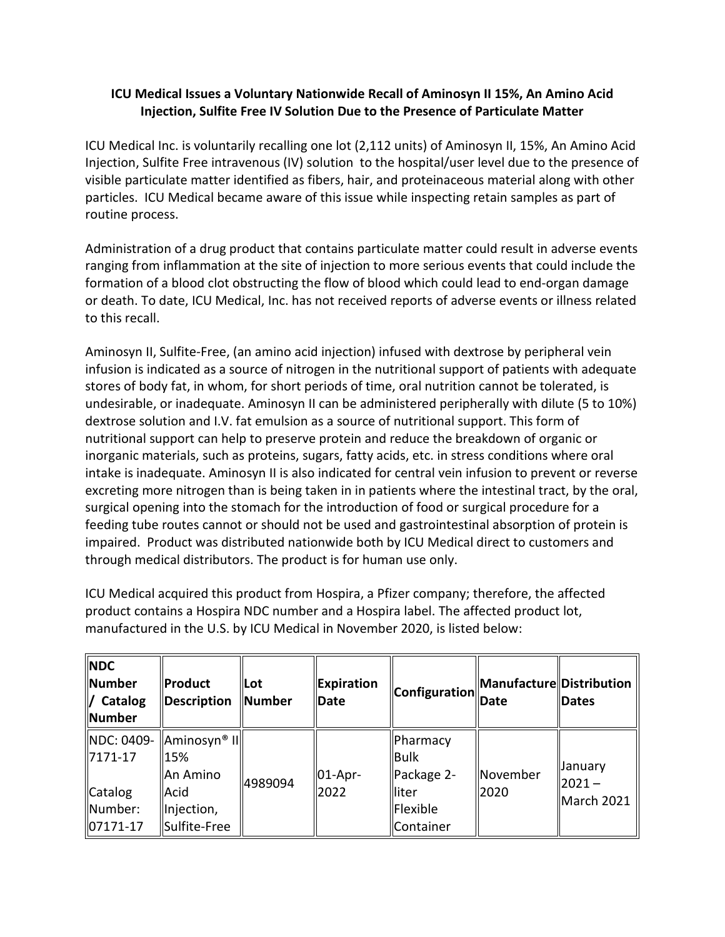## **ICU Medical Issues a Voluntary Nationwide Recall of Aminosyn II 15%, An Amino Acid Injection, Sulfite Free IV Solution Due to the Presence of Particulate Matter**

 Injection, Sulfite Free intravenous (IV) solution to the hospital/user level due to the presence of particles. ICU Medical became aware of this issue while inspecting retain samples as part of ICU Medical Inc. is voluntarily recalling one lot (2,112 units) of Aminosyn II, 15%, An Amino Acid visible particulate matter identified as fibers, hair, and proteinaceous material along with other routine process.

 Administration of a drug product that contains particulate matter could result in adverse events formation of a blood clot obstructing the flow of blood which could lead to end-organ damage or death. To date, ICU Medical, Inc. has not received reports of adverse events or illness related ranging from inflammation at the site of injection to more serious events that could include the to this recall.

 stores of body fat, in whom, for short periods of time, oral nutrition cannot be tolerated, is undesirable, or inadequate. Aminosyn II can be administered peripherally with dilute (5 to 10%) dextrose solution and I.V. fat emulsion as a source of nutritional support. This form of intake is inadequate. Aminosyn II is also indicated for central vein infusion to prevent or reverse excreting more nitrogen than is being taken in in patients where the intestinal tract, by the oral, impaired. Product was distributed nationwide both by ICU Medical direct to customers and Aminosyn II, Sulfite-Free, (an amino acid injection) infused with dextrose by peripheral vein infusion is indicated as a source of nitrogen in the nutritional support of patients with adequate nutritional support can help to preserve protein and reduce the breakdown of organic or inorganic materials, such as proteins, sugars, fatty acids, etc. in stress conditions where oral surgical opening into the stomach for the introduction of food or surgical procedure for a feeding tube routes cannot or should not be used and gastrointestinal absorption of protein is through medical distributors. The product is for human use only.

 ICU Medical acquired this product from Hospira, a Pfizer company; therefore, the affected product contains a Hospira NDC number and a Hospira label. The affected product lot, manufactured in the U.S. by ICU Medical in November 2020, is listed below:

| <b>NDC</b><br>Number<br>/ Catalog<br><b>Number</b> | <b>Product</b><br>Description                             | llLot<br>Number | Expiration<br><b>Date</b> | $\ \text{Configuration}\ $ Date       | Manufacture  Distribution | <b>Dates</b>           |
|----------------------------------------------------|-----------------------------------------------------------|-----------------|---------------------------|---------------------------------------|---------------------------|------------------------|
| $17171 - 17$                                       | $\ $ NDC: 0409- $\ $ Aminosyn® II $\ $<br>15%<br>An Amino | 4989094         | $ 01 - Apr -$<br>2022     | Pharmacy<br><b>Bulk</b><br>Package 2- | November<br>2020          | January                |
| Catalog<br>Number:<br>$ 07171-17$                  | Acid<br>Injection,<br>Sulfite-Free                        |                 |                           | lliter<br>Flexible<br>Container       |                           | $2021 -$<br>March 2021 |